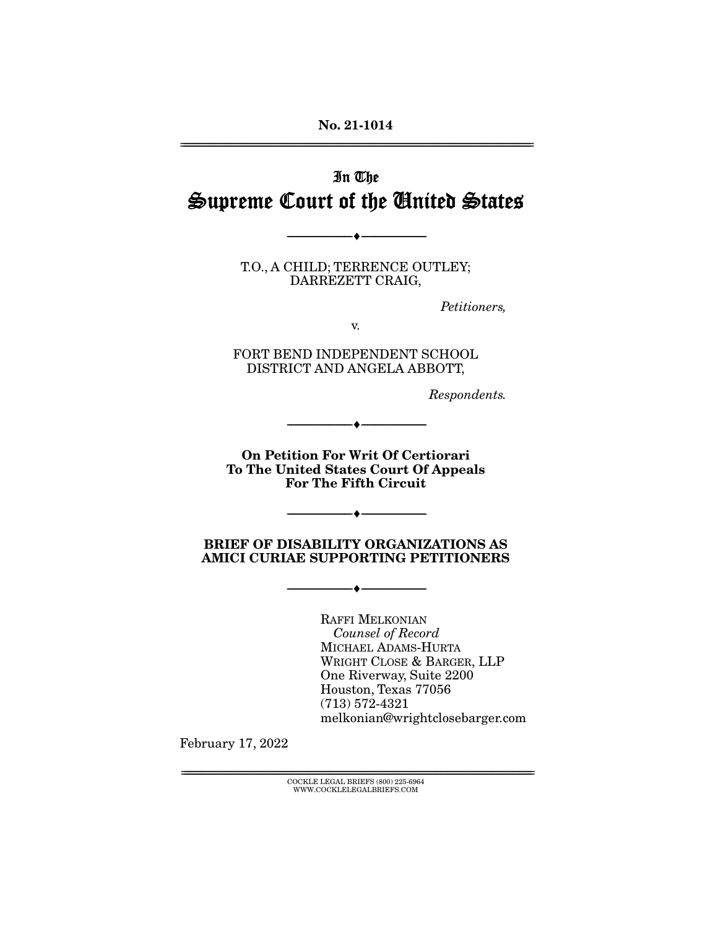# In The Supreme Court of the United States

T.O., A CHILD; TERRENCE OUTLEY;<br>DARREZETT CRAIG, <u>--------- - - ---- -,</u>

--------------------------------- ♦ ---------------------------------

Petitioners,

FORT BEND INDEPENDENT SCHOOL<br>DISTRICT AND ANGELA ABBOTT, DISTRICT AND ANGELA ABBOTT,

Respondents.

**On Petition For Writ Of Certiorari To The United States Court Of Appeals For The Fifth Circuit**

 $\overbrace{\hspace{27mm}}$   $\overbrace{\hspace{27mm}}$ 

#### **BRIEF OF DISABILITY ORGANIZATIONS AS AMICI CURIAE SUPPORTING PETITIONERS**

--------------------------------- ♦ ---------------------------------

--------------------------------- ♦ ---------------------------------

**Counsel of Record** MICHAEL ADAMS-HURTA<br>WRIGHT CLOSE & BARGER, LLP One Riverway, Suite 2200 Houston, Texas 77056  $(713) 572-4321$ (1159) 571-1521<br>melkonian@wri melkonian@wrightclosebarger.com

February 17, 2022

 ${ \rm COCKLE}$  LEGAL BRIEFS (800) 225-6964 WWW.COCKLELEGALBRIEFS.COM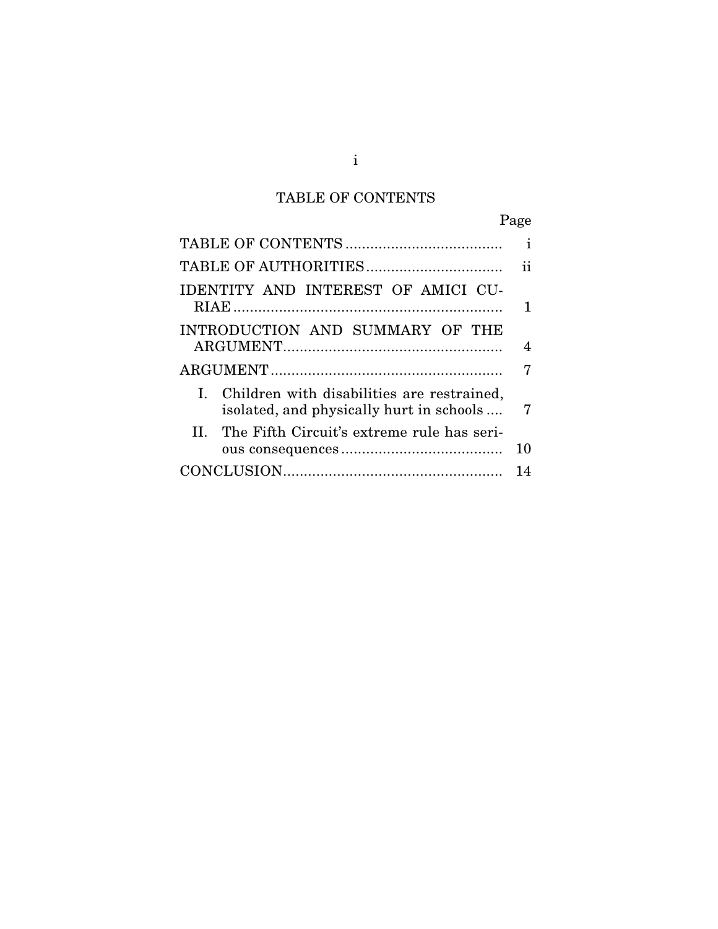# TABLE OF CONTENTS

Page

|                                                                                           | i  |
|-------------------------------------------------------------------------------------------|----|
|                                                                                           | 11 |
| IDENTITY AND INTEREST OF AMICI CU-                                                        | 1  |
| INTRODUCTION AND SUMMARY OF THE                                                           | 4  |
|                                                                                           | 7  |
| I. Children with disabilities are restrained,<br>isolated, and physically hurt in schools | 7  |
| II. The Fifth Circuit's extreme rule has seri-                                            | 10 |
|                                                                                           | 14 |
|                                                                                           |    |

i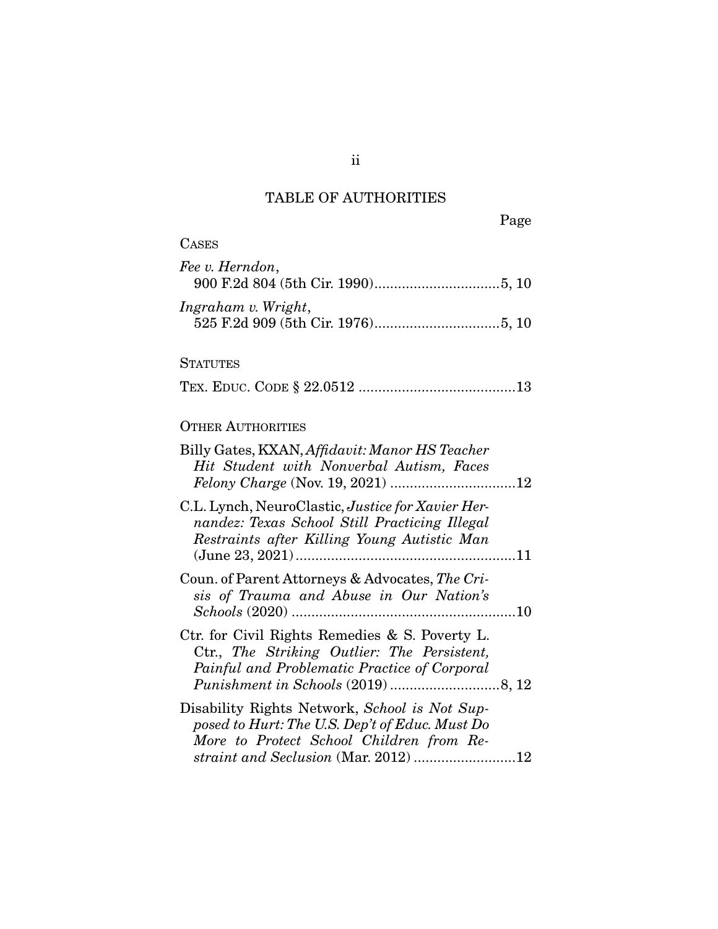## TABLE OF AUTHORITIES

| <b>CASES</b>                                                                                                                                                                        |
|-------------------------------------------------------------------------------------------------------------------------------------------------------------------------------------|
| Fee v. Herndon,                                                                                                                                                                     |
| Ingraham v. Wright,                                                                                                                                                                 |
| <b>STATUTES</b>                                                                                                                                                                     |
|                                                                                                                                                                                     |
| <b>OTHER AUTHORITIES</b>                                                                                                                                                            |
| Billy Gates, KXAN, Affidavit: Manor HS Teacher<br>Hit Student with Nonverbal Autism, Faces                                                                                          |
| C.L. Lynch, NeuroClastic, Justice for Xavier Her-<br>nandez: Texas School Still Practicing Illegal<br>Restraints after Killing Young Autistic Man                                   |
| Coun. of Parent Attorneys & Advocates, The Cri-<br>sis of Trauma and Abuse in Our Nation's                                                                                          |
| Ctr. for Civil Rights Remedies & S. Poverty L.<br>Ctr., The Striking Outlier: The Persistent,<br>Painful and Problematic Practice of Corporal                                       |
| Disability Rights Network, School is Not Sup-<br>posed to Hurt: The U.S. Dep't of Educ. Must Do<br>More to Protect School Children from Re-<br>straint and Seclusion (Mar. 2012) 12 |

ii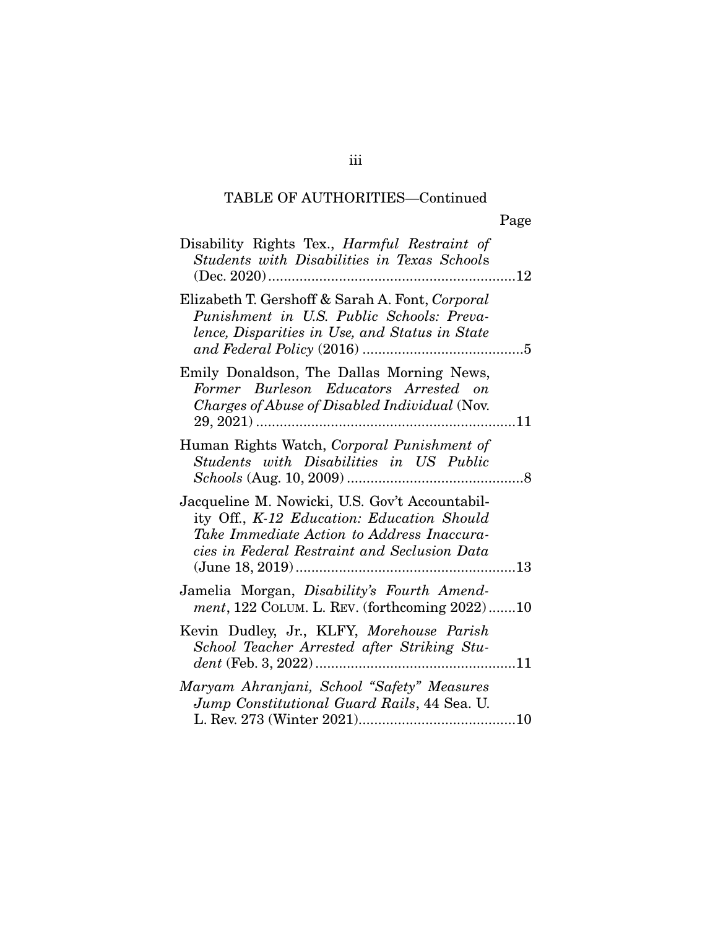## TABLE OF AUTHORITIES—Continued

| Disability Rights Tex., <i>Harmful Restraint of</i><br>Students with Disabilities in Texas Schools<br>12                                                                                   |
|--------------------------------------------------------------------------------------------------------------------------------------------------------------------------------------------|
| Elizabeth T. Gershoff & Sarah A. Font, Corporal<br>Punishment in U.S. Public Schools: Preva-<br>lence, Disparities in Use, and Status in State                                             |
| Emily Donaldson, The Dallas Morning News,<br>Former Burleson Educators Arrested on<br>Charges of Abuse of Disabled Individual (Nov.                                                        |
| Human Rights Watch, Corporal Punishment of<br>Students with Disabilities in US Public                                                                                                      |
| Jacqueline M. Nowicki, U.S. Gov't Accountabil-<br>ity Off., K-12 Education: Education Should<br>Take Immediate Action to Address Inaccura-<br>cies in Federal Restraint and Seclusion Data |
| Jamelia Morgan, <i>Disability's Fourth Amend-</i><br>$ment$ , 122 COLUM. L. REV. (forthcoming $2022$ )10                                                                                   |
| Kevin Dudley, Jr., KLFY, Morehouse Parish<br>School Teacher Arrested after Striking Stu-                                                                                                   |
| Maryam Ahranjani, School "Safety" Measures<br>Jump Constitutional Guard Rails, 44 Sea. U.<br>L. Rev. $273$ (Winter $2021$ )<br>10                                                          |

L. Rev. 273 (Winter 2021) ........................................ 10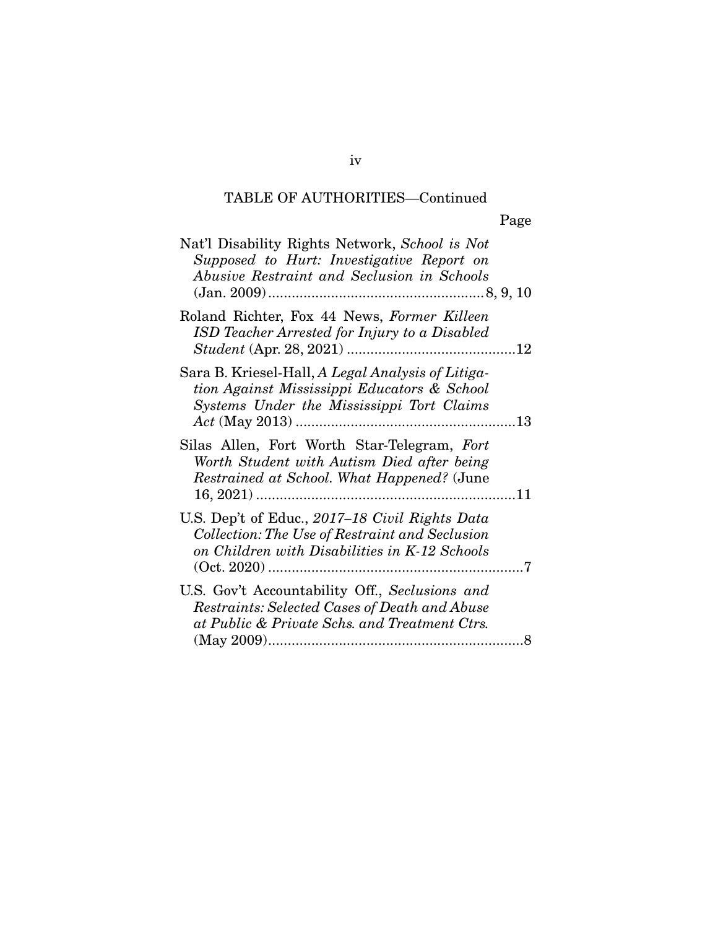## TABLE OF AUTHORITIES—Continued

| Nat'l Disability Rights Network, School is Not<br>Supposed to Hurt: Investigative Report on<br>Abusive Restraint and Seclusion in Schools         |  |
|---------------------------------------------------------------------------------------------------------------------------------------------------|--|
| Roland Richter, Fox 44 News, Former Killeen<br><b>ISD</b> Teacher Arrested for Injury to a Disabled                                               |  |
| Sara B. Kriesel-Hall, A Legal Analysis of Litiga-<br>tion Against Mississippi Educators & School<br>Systems Under the Mississippi Tort Claims     |  |
| Silas Allen, Fort Worth Star-Telegram, Fort<br>Worth Student with Autism Died after being<br>Restrained at School. What Happened? (June           |  |
| U.S. Dep't of Educ., 2017–18 Civil Rights Data<br>Collection: The Use of Restraint and Seclusion<br>on Children with Disabilities in K-12 Schools |  |
| U.S. Gov't Accountability Off., Seclusions and<br>Restraints: Selected Cases of Death and Abuse<br>at Public & Private Schs. and Treatment Ctrs.  |  |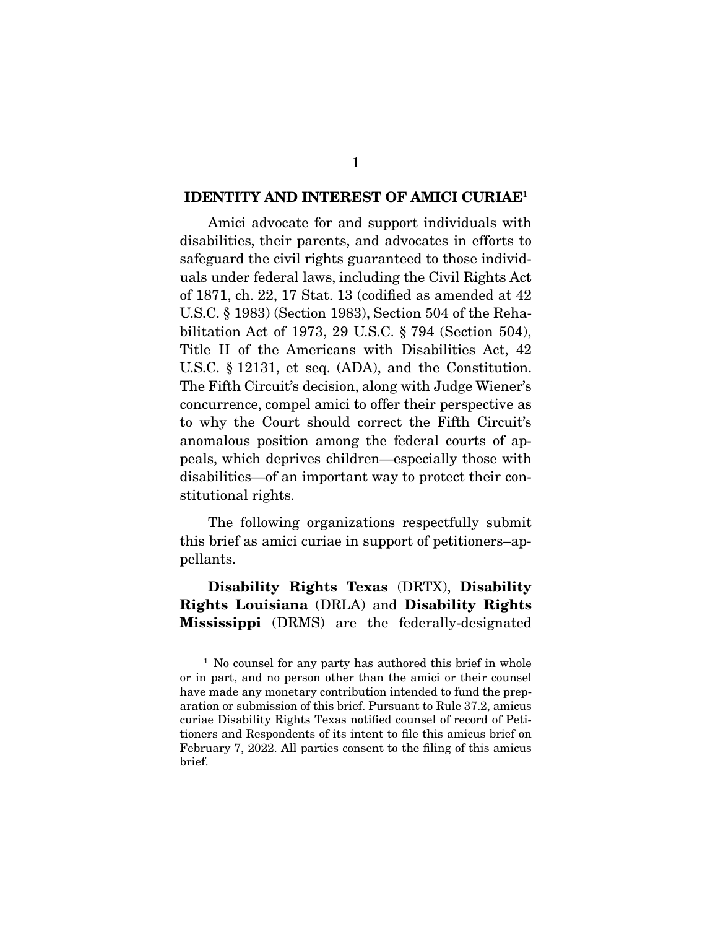#### **IDENTITY AND INTEREST OF AMICI CURIAE**1

Amici advocate for and support individuals with<br>disabilities, their parents, and advocates in efforts to safeguard the civil rights guaranteed to those individuals under federal laws, including the Civil Rights Act of 1871, ch. 22, 17 Stat. 13 (codified as amended at  $42$ ) U.S.C.  $\S$  1983) (Section 1983), Section 504 of the Rehabilitation Act of 1973, 29 U.S.C.  $\S 794$  (Section 504), Title II of the Americans with Disabilities Act, 42 U.S.C.  $\S$  12131, et seq. (ADA), and the Constitution. The Fifth Circuit's decision, along with Judge Wiener's concurrence, compel amici to offer their perspective as to why the Court should correct the Fifth Circuit's anomalous position among the federal courts of appeals, which deprives children—especially those with disabilities—of an important way to protect their con- $\frac{1}{2}$  is a subset of protecting  $\frac{1}{2}$  in the input  $\frac{1}{2}$  is a set of protection of  $\frac{1}{2}$  is a set of  $\frac{1}{2}$  is a set of  $\frac{1}{2}$  is a set of  $\frac{1}{2}$  is a set of  $\frac{1}{2}$  is a set of  $\frac{1}{2}$  is a s stitutional rights.

The following organizations respectfully submit this brief as amici curiae in support of petitioners–ap $t$  and  $t$  are amicious curiations in support of petitioners–appendix  $t$ pellants.

**Disability Rights Texas** (DRTX), **Disability Rights Louisiana** (DRLA) and **Disability Rights Mississippi** (DRMS) are the federally-designated

 $1$  No counsel for any party has authored this brief in whole or in part, and no person other than the amici or their counsel have made any monetary contribution intended to fund the preparation or submission of this brief. Pursuant to Rule 37.2, amicus curiae Disability Rights Texas notified counsel of record of Petitioners and Respondents of its intent to file this amicus brief on tioners and responses to the metal to the this amicus brief on<br>February 7, 2022, All parties consent to the filing of this amicus - we may 7, 2022. The parties consent to the filing of this amicum.<br>brief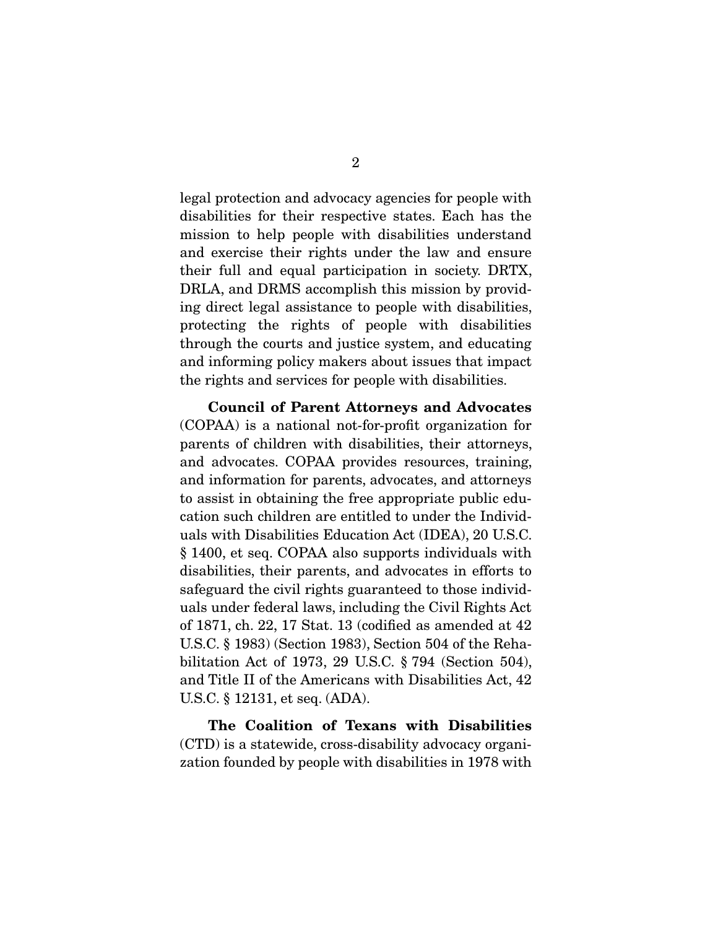legal protection and advocacy agencies for people with mission to help people with disabilities understand. and exercise their rights under the law and ensure their full and equal participation in society. DRTX, DRLA, and DRMS accomplish this mission by providing direct legal assistance to people with disabilities, protecting the rights of people with disabilities through the courts and justice system, and educating and informing policy makers about issues that impact  $\frac{1}{2}$  is the interest of the interest in  $\frac{1}{2}$  in  $\frac{1}{2}$  $\mathbf{r}$  rights and services for people with disabilities.

**Council of Parent Attorneys and Advocates** (COPAA) is a national not-for-profit organization for and advocates. COPAA provides resources, training, and information for parents, advocates, and attorneys to assist in obtaining the free appropriate public education such children are entitled to under the Individuals with Disabilities Education Act (IDEA), 20 U.S.C. § 1400, et seq. COPAA also supports individuals with disabilities, their parents, and advocates in efforts to safeguard the civil rights guaranteed to those individuals under federal laws, including the Civil Rights Act of 1871, ch. 22, 17 Stat. 13 (codified as amended at  $42$ ) U.S.C.  $\S$  1983) (Section 1983), Section 504 of the Rehabilitation Act of 1973, 29 U.S.C.  $\S 794$  (Section 504), and Title II of the Americans with Disabilities Act, 42 U.S.C.  $\S$  12131, et seq. (ADA).  $\mathbf{P}$ 

**The Coalition of Texans with Disabilities**  (CTD) is a statewide, cross-disability advocacy organization founded by people with disabilities in 1978 with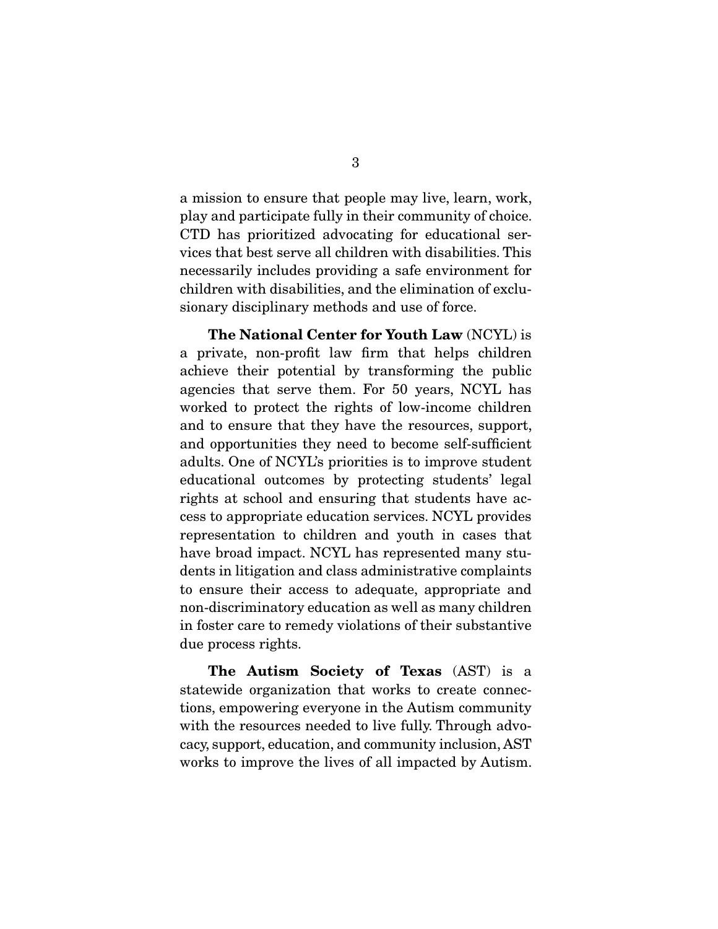a mission to ensure that people may live, learn, work, CTD has prioritized advocating for educational services that best serve all children with disabilities. This necessarily includes providing a safe environment for children with disabilities, and the elimination of exclusionary disciplinary methods and use of force. sionary disciplinary methods and use of  $\mathbf{r}$ 

**The National Center for Youth Law** (NCYL) is<br>a private, non-profit law firm that helps children achieve their potential by transforming the public agencies that serve them. For 50 years, NCYL has worked to protect the rights of low-income children. and to ensure that they have the resources, support, and opportunities they need to become self-sufficient adults. One of NCYL's priorities is to improve student educational outcomes by protecting students' legal rights at school and ensuring that students have acresept to appropriate education services. NCYL provides representation to children and youth in cases that have broad impact. NCYL has represented many students in litigation and class administrative complaints to ensure their access to adequate, appropriate and non-discriminatory education as well as many children in foster care to remedy violations of their substantive duo procoss rights  $\mathbf{r}$  is ready due to  $\mathbf{r}$ 

**The Autism Society of Texas** (AST) is a statewide organization that works to create connections, empowering everyone in the Autism community with the resources needed to live fully. Through advocacy, support, education, and community inclusion, AST works to improve the lives of all impacted by Autism.  $\sim$  to improve the lives of all impacted by Librarian.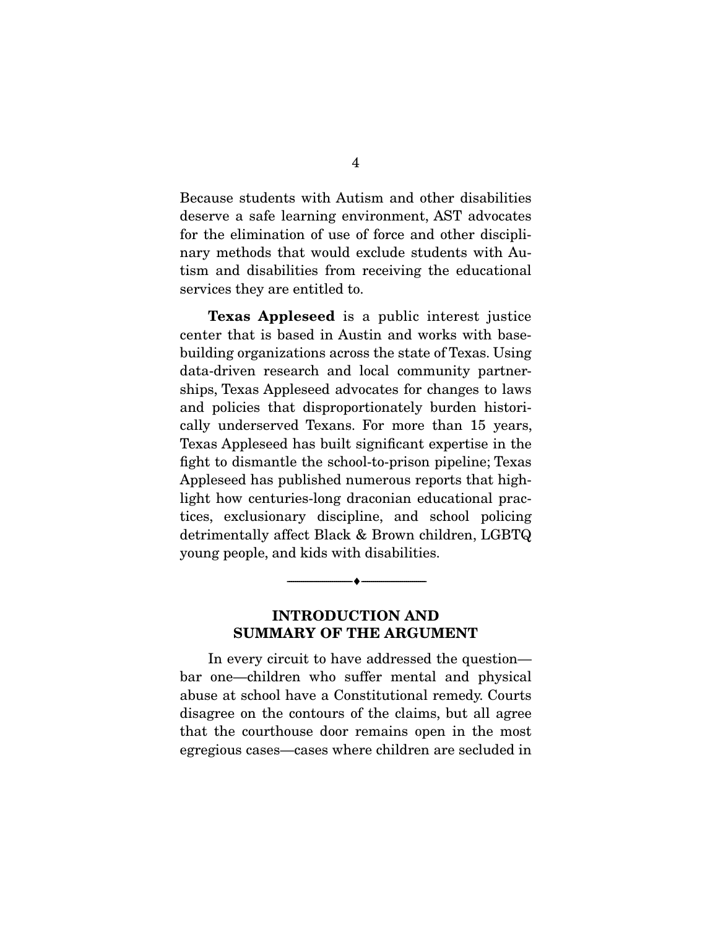Because students with Autism and other disabilities deserve a safe learning environment, AST advocates for the elimination of use of force and other disciplinary methods that would exclude students with Autism and disabilities from receiving the educational  $\frac{1}{2}$  times from  $\frac{1}{2}$  the educational to  $\frac{1}{2}$ services they are entitled to.

**Texas Appleseed** is a public interest justice center that is based in Austin and works with basebuilding organizations across the state of Texas. Using data-driven research and local community partnerships, Texas Appleseed advocates for changes to laws and policies that disproportionately burden historically underserved Texans. For more than 15 years, Texas Appleseed has built significant expertise in the fight to dismantle the school-to-prison pipeline; Texas Appleseed has published numerous reports that highlight how centuries-long draconian educational practices, exclusionary discipline, and school policing detrimentally affect Black & Brown children, LGBTQ  $\frac{d}{d\theta}$  $y \sim 1$  period people, and the disabilities with disabilities.

### **INTRODUCTION AND SUMMARY OF THE ARGUMENT**

--------------------------------- ♦ ---------------------------------

In every circuit to have addressed the question—<br>bar one—children who suffer mental and physical abuse at school have a Constitutional remedy. Courts disagree on the contours of the claims, but all agree that the courthouse door remains open in the most egregious cases—cases where children are secluded in egregious cases—cases where children are secluded in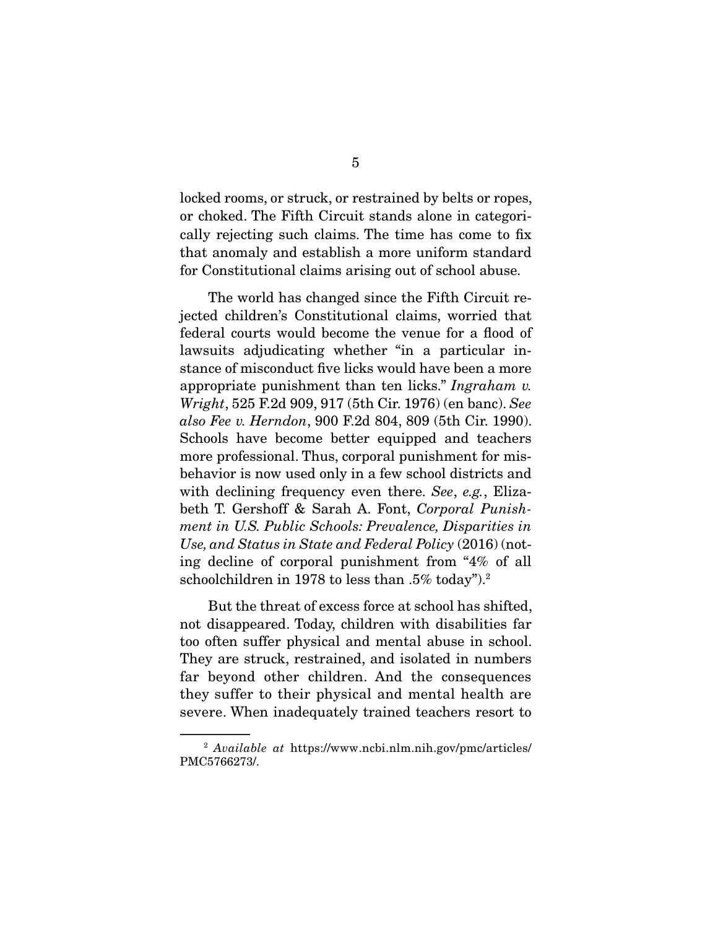locked rooms, or struck, or restrained by belts or ropes, or choked. The Fifth Circuit stands alone in categorically rejecting such claims. The time has come to fix that anomaly and establish a more uniform standard that and the more units and the more units of the more units. for Constitutional claims arising out of school abuse.

The world has changed since the Fifth Circuit rejected children's Constitutional claims, worried that federal courts would become the venue for a flood of law suits adjudicating whether "in a particular instance of misconduct five licks would have been a more appropriate punishment than ten licks." Ingraham v.<br>Wright 525 F.2d 909, 917 (5th Cir. 1976) (en banc), See Wright, 525 F.2d 909, 917 (5th Cir. 1976) (en banc). See also Fee v. Herndon, 900 F.2d 804, 809 (5th Cir. 1990).<br>Schools have become better equipped and teachers more professional. Thus, corporal punishment for misbehavior is now used only in a few school districts and with declining frequency even there. See, e.g., Eliza-<br>beth  $T$  Gershoff & Sarah  $\Delta$  Font Cerneral Punishbeth T. Gershoff & Sarah A. Font, Corporal Punishment in U.S. Public Schools: Prevalence, Disparities in Use, and Status in State and Federal Policy (2016) (not-<br>ing decline of corporal punishment from "4% of all  $\frac{1}{2}$  in the corporal punishment from  $\frac{1}{2}$  of  $\frac{1}{2}$  of  $\frac{1}{2}$  and  $\frac{1}{2}$  and  $\frac{1}{2}$  are  $\frac{1}{2}$  and  $\frac{1}{2}$  and  $\frac{1}{2}$  are  $\frac{1}{2}$  and  $\frac{1}{2}$  are  $\frac{1}{2}$  and  $\frac{1}{2}$  are  $\frac{1}{2}$  and  $\frac{1}{3}$ schoolchildren in 1978 to less than .5% today").

But the threat of excess force at school has shifted, not disappeared. Today, children with disabilities far too often suffer physical and mental abuse in school. They are struck, restrained, and isolated in numbers far beyond other children. And the consequences they suffer to their physical and mental health are  $\frac{1}{2}$  say are  $\frac{1}{2}$  in the mental mental to the mental health are mental to the mental mental  $\frac{1}{2}$  in  $\frac{1}{2}$  in  $\frac{1}{2}$  in  $\frac{1}{2}$  in  $\frac{1}{2}$  in  $\frac{1}{2}$  in  $\frac{1}{2}$  in  $\frac{1}{2}$  in  $\frac{1}{2}$  in  $\$ severe trained teachers  $\mathbf{r}_i$  trained the teachers resort to

 $^{2}$  Available at https://www.ncbi.nlm.nih.gov/pmc/articles/ PMC5766273/.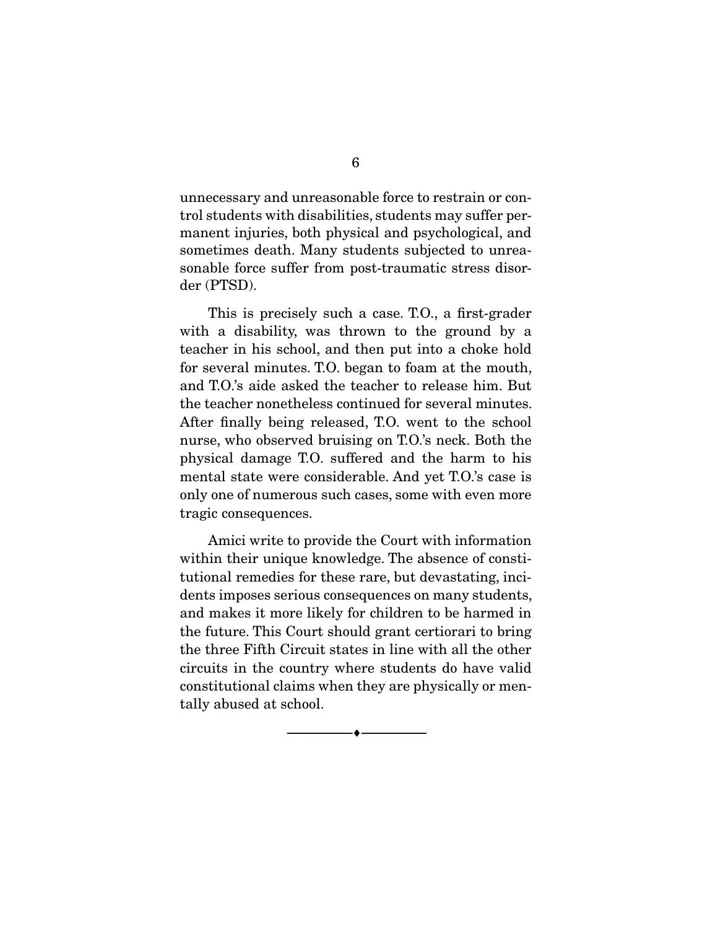unnecessary and unreasonable force to restrain or control students with disabilities, students may suffer permanent injuries, both physical and psychological, and sometimes death. Many students subjected to unrea- $\frac{1}{2}$  somether than  $\frac{1}{2}$  and the unreader than  $\frac{1}{2}$  and unreader to unrealise the unrea- $\frac{1}{2}$ sonable from post-transferred post-transferred post-transferred post-transferred post-transferred postder (PTSD).

This is precisely such a case. T.O., a first-grader with a disability, was thrown to the ground by a teacher in his school, and then put into a choke hold for several minutes. T.O. began to foam at the mouth, and T.O.'s aide asked the teacher to release him. But the teacher nonetheless continued for several minutes. After finally being released, T.O. went to the school nurse, who observed bruising on T.O.'s neck. Both the physical damage T.O. suffered and the harm to his mental state were considerable. And yet T.O.'s case is only one of numerous such cases, some with even more tragic consequences.  $\frac{1}{2}$ 

Amici write to provide the Court with information<br>within their unique knowledge. The absence of constitutional remedies for these rare, but devastating, incidents imposes serious consequences on many students, and makes it more likely for children to be harmed in the future. This Court should grant certiorari to bring the three Fifth Circuit states in line with all the other circuits in the country where students do have valid constitutional claims when they are physically or mentally abused at school.  $t_{\text{max}}$  are set of school.

 $\overbrace{\hspace{2.5cm}}$   $\overbrace{\hspace{2.5cm}}$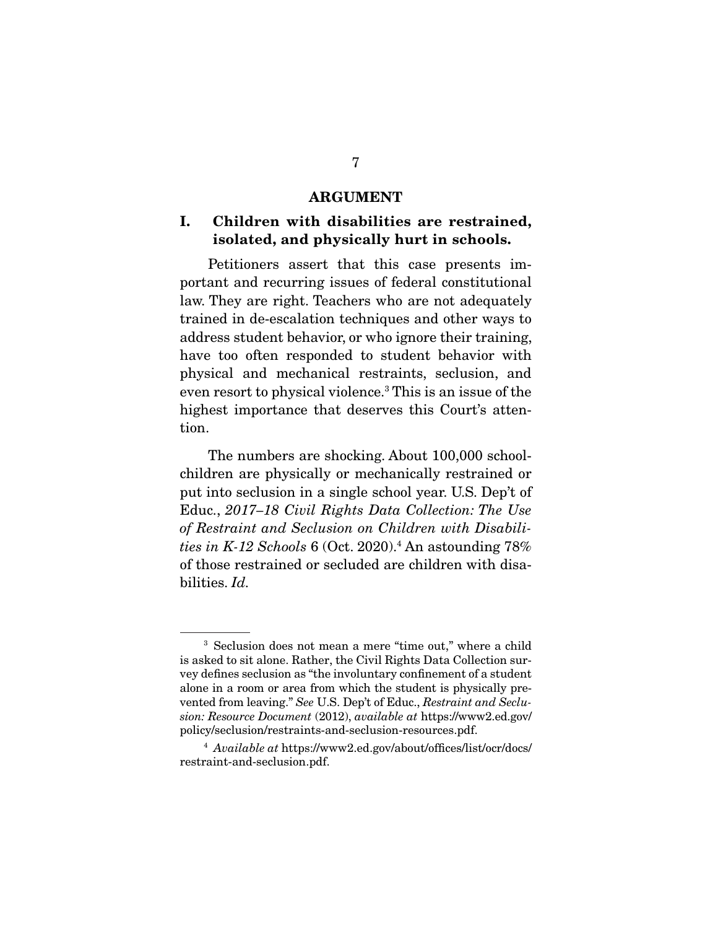#### **ARGUMENT**

### **I. Children with disabilities are restrained, isolated, and physically hurt in schools.**

Petitioners assert that this case presents important and recurring issues of federal constitutional law. They are right. Teachers who are not adequately trained in de-escalation techniques and other ways to address student behavior, or who ignore their training, have too often responded to student behavior with physical and mechanical restraints, seclusion, and even resort to physical violence.<sup>3</sup> This is an issue of the even resort to physical violence.<sup>3</sup> This is an issue of the<br>highest importance that deserves this Court's atten highest importance that deserves this Court's attention.

The numbers are shocking. About 100,000 school-<br>children are physically or mechanically restrained or put into seclusion in a single school year. U.S. Dep't of put into second in a single school year. The Use<br>of Peetraint and Seclusian on Children with Dischili of Restraint and Seclusion on Children with Disabilities in K-12 Schools  $6$  (Oct. 2020).<sup>4</sup> An astounding  $78\%$ of those restrained or secluded are children with disaof those restrained or secluded are children with disa-bilities. Id.

<sup>&</sup>lt;sup>3</sup> Seclusion does not mean a mere "time out," where a child is asked to sit alone. Rather, the Civil Rights Data Collection survey defines seclusion as "the involuntary confinement of a student alone in a room or area from which the student is physically prevented from leaving." See U.S. Dep't of Educ., Restraint and Seclu-<br>sion: Resource Document (2012), quailable at https://www.2 ed.gov/ sion: Resource Document (2012), available at https://www2.ed.gov/<br>policy/seclusion/restraints-and-seclusion-resources.pdf.

policy/secures.pdf. and-secures.pdf. and-secures.pdf.  $4$  Available at https://www2.ed.gov/about/offices/list/ocr/docs/ restraint-and-seclusion.pdf.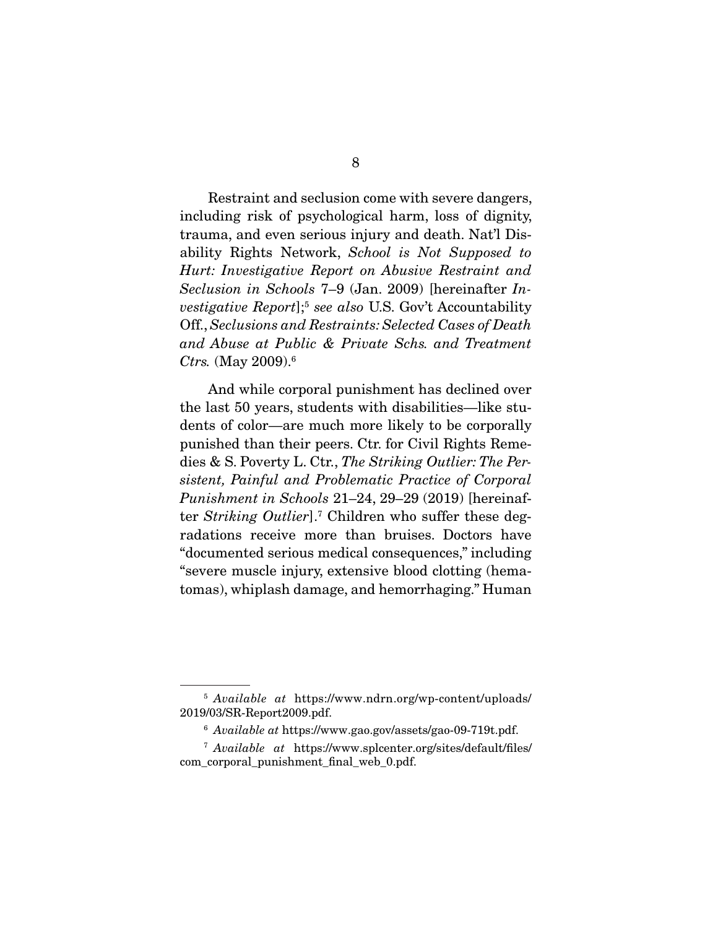Restraint and seclusion come with severe dangers,<br>including risk of psychological harm, loss of dignity, trauma, and even serious injury and death. Nat'l Disability Rights Network, School is Not Supposed to<br>Hurt: Investigative Report on Abusive Restraint and Hurt: Investigative Report on Abusive Restraint and Seclusion in Schools 7–9 (Jan. 2009) [hereinafter Investigative Report];<sup>5</sup> see also U.S. Gov't Accountability Off., Seclusions and Restraints: Selected Cases of Death and Abuse at Public & Private Schs. and Treatment Ctrs. (May 2009).<sup>6</sup>

And while corporal punishment has declined over<br>the last 50 years, students with disabilities—like students of color—are much more likely to be corporally punished than their peers. Ctr. for Civil Rights Remepunished than their peers. Choice of Civil Rights Remembers.<br>dies & S. Poverty L. Ctr., The Striking Outlier: The Per-<br>sistent. Painful and Problematic Practice of Cornoral sistent, Painful and Problematic Practice of Corporal Punishment in Schools 21–24, 29–29 (2019) [hereinafter Striking Outlier].<sup>7</sup> Children who suffer these degradations receive more than bruises. Doctors have "documented serious medical consequences," including "severe muscle injury, extensive blood clotting (hema $s_{\text{max}}$  in the muscle in  $s_{\text{max}}$  of the contraction  $s_{\text{max}}$  $\mathbf{f}$  and  $\mathbf{g}$ , and here  $\mathbf{g}$  and hemorrhaging.

 $5$  Available at https://www.ndrn.org/wp-content/uploads/  $2019/03/\mathrm{SR}\text{-}\mathrm{Report2009}.$ pdf.

 $\frac{6}{3}$  Available at https://www.gao.gov/assets/gao-09-719t.pdf.

 $^7$  Available at https://www.splcenter.org/sites/default/files/ com corporal punishment final web 0.pdf. com\_corporal\_punishment\_final\_web\_orpan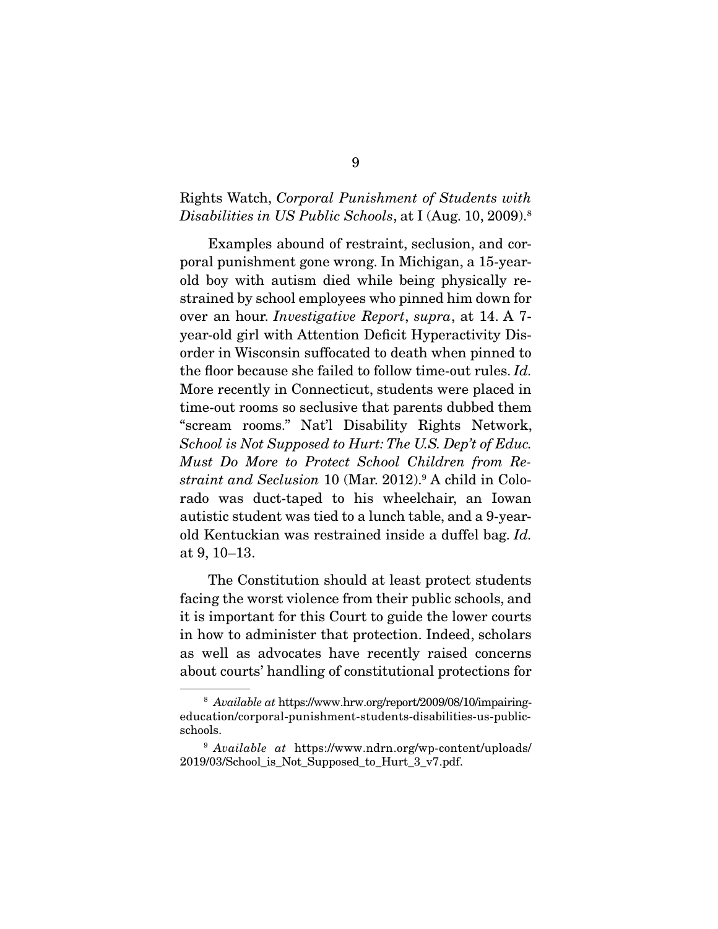#### Rights Watch, Corporal Punishment of Students with Disabilities in US Public Schools, at I (Aug. 10, 2009).<sup>8</sup>

Examples abound of restraint, seclusion, and cor-<br>poral punishment gone wrong. In Michigan, a 15-yearportation punishment goal punishment goal boy with autism died while being physically restrained by school employees who pinned him down for strained by school employees who proves an hour. Investigative Report, supra, at 14. A 7year-old girl with Attention Deficit Hyperactivity Disthe floor because she failed to follow time-out rules. Id.<br>More recently in Connecticut, students were placed in More recently in Connecticut, students were placed in time-out rooms so seclusive that parents dubbed them "scream rooms." Nat'l Disability Rights Network,  $School$  is Not Supposed to Hurt: The U.S. Dep't of Educ. Must Do More to Protect School Children from Restraint and Seclusion 10 (Mar. 2012).<sup>9</sup> A child in Colorado was duct-taped to his wheelchair, an Iowan autistic student was tied to a lunch table, and a 9-yearautistic student was the table of a duffel bag.  $Id$ .<br>of  $9-10-13$ at 9, 10–13.

The Constitution should at least protect students<br>facing the worst violence from their public schools, and it is important for this Court to guide the lower courts in how to administer that protection. Indeed, scholars as well as advocates have recently raised concerns about courts' handling of constitutional protections for  $\frac{1}{2}$ 

<sup>8</sup> Available at https://www.hrw.org/report/2009/08/10/impairingeducation/corporal-punishment-students-disabilities-us-public-

 $\frac{9}{9}$  Available at https://www.ndrn.org/wp-content/uploads/<br>2019/03/School is Not Supposed to Hurt 3 v7 pdf 2019/03/School\_is\_Not\_Supposed\_to\_Hurt\_3\_v7.pdf.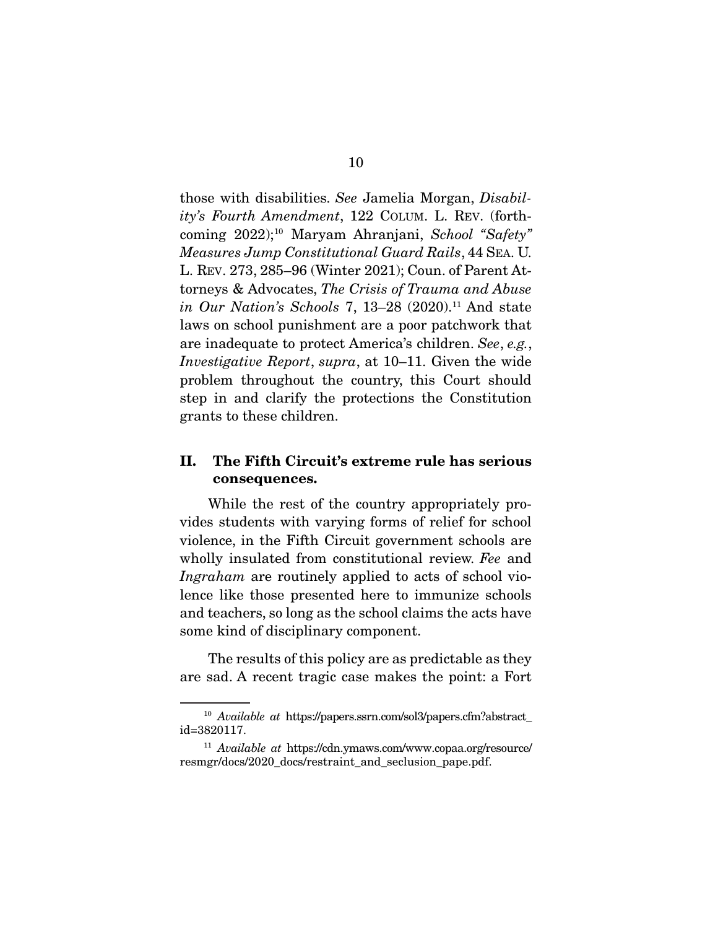those with disabilities. See Jamelia Morgan, Disability's Fourth Amendment, 122 COLUM. L. REV. (forthcoming 2022);10 Maryam Ahranjani, School "Safety" Measures Jump Constitutional Guard Rails, 44 SEA. U. torneys & Advocates, The Crisis of Trauma and Abuse<br>in Our. Nation's Sebools 7, 13, 28, (2020), <sup>11</sup> And state in Our Nation's Schools 7, 13–28 (2020).<sup>11</sup> And state laws on school punishment are a poor patchwork that are inadequate to protect America's children. See, e.g.,<br>Investigative Benert, supra, et 10, 11, Given the wide Investigative Report, supra, at 10–11. Given the wide problem throughout the country, this Court should step in and clarify the protections the Constitution grants to the echildren.  $\sigma$  and the children children.

### **II. The Fifth Circuit's extreme rule has serious consequences.**

While the rest of the country appropriately provides students with varying forms of relief for school violence, in the Fifth Circuit government schools are wholly insulated from constitutional review. Fee and  $I<sub>prare</sub>hcm$  are reutinaly applied to acts of school view. Ingraham are routinely applied to acts of school vio-<br>lence like those presented here to immunize schools and teachers, so long as the school claims the acts have  $\frac{1}{2}$  and the school compared the school compared the acts of discriminants the acts of discriminants  $\frac{1}{2}$ some mind of disciplinary component.

 $T_{\text{max}}$  and  $\Lambda$  resent trace as a predict the point: a Fort are sad. A recent trager case makes the point:  $\alpha$  Fort

 $^{10}$   $\it Available$   $at$  <code>https://papers.ssrn.com/sol3/papers.cfm?abstract\_id=3820117.</code>

<sup>&</sup>lt;sup>11</sup> Available at https://cdn.ymaws.com/www.copaa.org/resource/<br>resmar/docs/2020\_docs/restraint\_and\_secusion\_pape\_ndf resmgr/docs/2020\_docs/restraint\_and\_seclusion\_pape.pdf.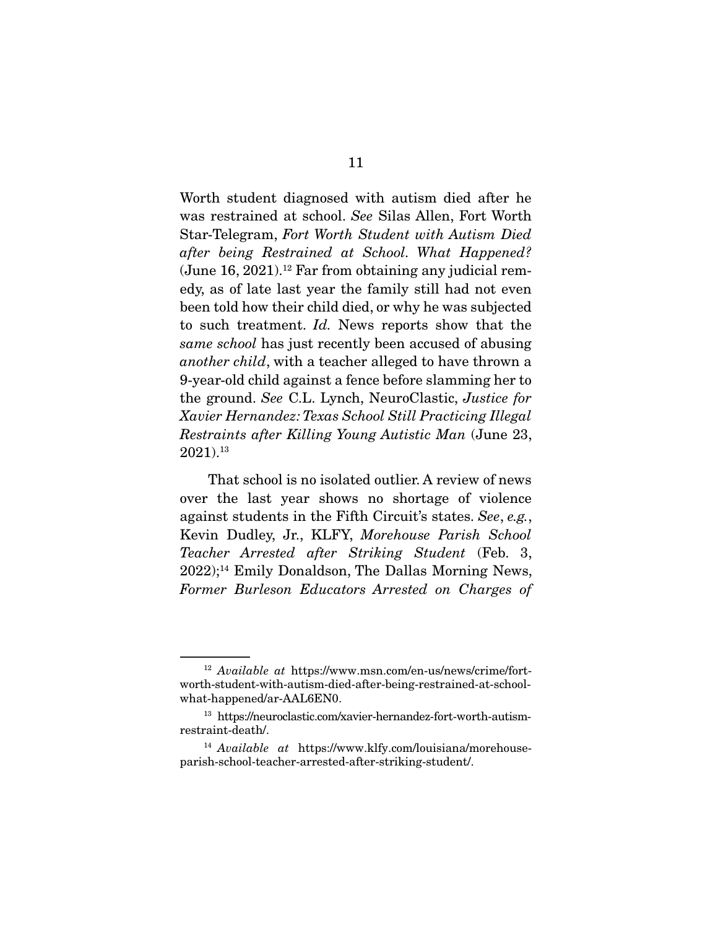was restrained at school. See Silas Allen, Fort Worth Star-Telegram, Fort Worth Student with Autism Died after being Restrained at School. What Happened? (June  $16, 2021$ ).<sup>12</sup> Far from obtaining any judicial rem-<br>edy, as of late last year the family still had not even been told how their child died, or why he was subjected to such treatment. Id. News reports show that the game school has just recently been acquased of abusing same school has just recently been accused of abusing another child, with a teacher alleged to have thrown a<br>9-year-old child against a fence before slamming her to the ground. See C.L. Lynch, NeuroClastic, Justice for<br>Xavier Hernandez: Texas Sebool Still Practicing Illegal Xavier Hernandez: Texas School Still Practicing Illegal Restraints after Killing Young Autistic Man (June 23, 2021).<sup>13</sup>

That school is no isolated outlier. A review of news<br>over the last year shows no shortage of violence against students in the Fifth Circuit's states. See, e.g.,<br>Kovin Dudlov, Jr., KLEV Morebouse, Parish, School Kevin Dudley, Jr., KLFY, Morehouse Parish School Teacher Arrested after Striking Student (Feb. 3, 2022);<sup>14</sup> Emily Donaldson, The Dallas Morning News, 2022);14 Emily Donaldson, The Dallas Morning News, Former Burleson Educators Arrested on Charges of

 $^{12}$  Available at https://www.msn.com/en-us/news/crime/fort-worth-student-with-autism-died-after-being-restrained-at-school $what-happed/ar-AAL6EN0.$ 

where the presence  $\mu$  and  $\mu$ <sup>13</sup> https://neuroclastic.com/xavier-hernandez-fort-worth-autism-

 $14$  Available at https://www.klfy.com/louisiana/morehouse-<br>narish-school-teacher-arrested-after-striking-student/ parish-school-teacher-arrested-after-striking-student/.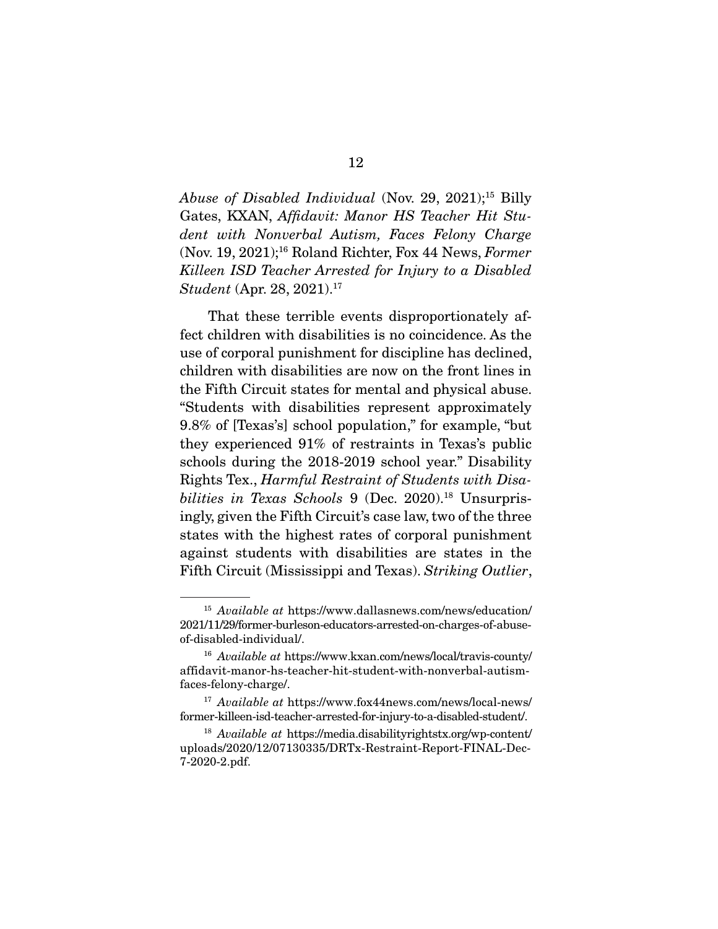Abuse of Disabled Individual (Nov. 29, 2021);<sup>15</sup> Billy Gates, KXAN, Affidavit: Manor HS Teacher Hit Student with Nonverbal Autism, Faces Felony Charge (Nov. 19, 2021);16 Roland Richter, Fox 44 News, Former Killeen ISD Teacher Arrested for Injury to a Disabled Student (Apr. 28, 2021).<sup>17</sup>

That these terrible events disproportionately affect children with disabilities is no coincidence. As the use of corporal punishment for discipline has declined. children with disabilities are now on the front lines in the Fifth Circuit states for mental and physical abuse. "Students with disabilities represent approximately 9.8% of [Texas's] school population," for example, "but they experienced  $91\%$  of restraints in Texas's public schools during the 2018-2019 school year." Disability Rights Tex., Harmful Restraint of Students with Disa-<br>bilities in Texas Schools 9 (Dec. 2020)<sup>18</sup> Unsurpris bilities in Texas Schools 9 (Dec. 2020).<sup>18</sup> Unsurpris-<br>ingly, given the Fifth Circuit's case law, two of the three states with the highest rates of corporal punishment against students with disabilities are states in the against students with disabilities are states in the Fifth Circuit (Mississippi and Texas). Striking Outlier,

 $^{15}$  Available at https://www.dallasnews.com/news/education/  $2021/11/29$  /former-burleson-educators-arrested-on-charges-of-abuseof-disabled-individual/.

of-disabled-individual.<br>
<sup>16</sup> Available at https://www.kxan.com/news/local/travis-county/<br>
affidavit.manor.hs.tagcher.hit.student.with.popygrhal.autism. affidavit-manor-hs-teacher-hit-student-with-nonverbal-autism-

faces-felony-charge/. <sup>17</sup> Available at https://www.fox44news.com/news/local-news/

<sup>18</sup> Available at https://media.disabilityrightstx.org/wp-content/<br>
18 Available at https://media.disabilityrightstx.org/wp-content/ uploads/2020/12/07130335/DRTx-Restraint-Report-FINAL-Dec-7-2020-2.pdf.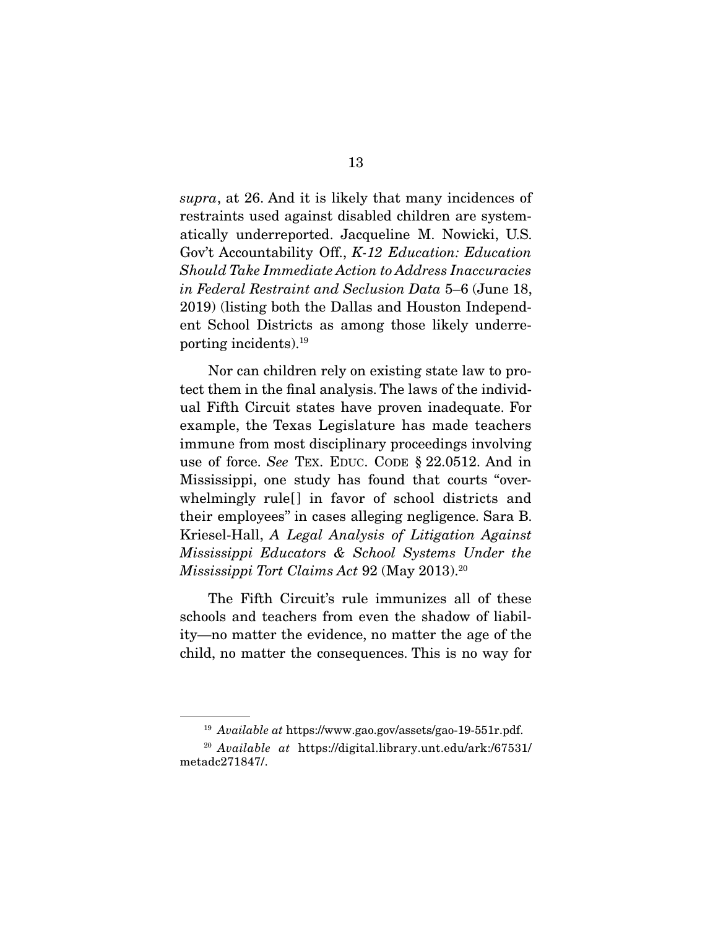supra, at 26. And it is likely that many incidences of restraints used against disabled children are systematically underreported. Jacqueline M. Nowicki, U.S. Gov't Accountability Off., K-12 Education: Education<br>Should Take Immediate Action to Address Inggevrasies Should Take Immediate Action to Address Inaccuracies in Federal Restraint and Seclusion Data 5–6 (June 18, 2019) (listing both the Dallas and Houston Independent School Districts as among those likely underre- $\frac{1}{2}$  entries incidental  $\frac{10}{3}$ porting incidents).

Nor can children rely on existing state law to pro-<br>tect them in the final analysis. The laws of the individual Fifth Circuit states have proven inadequate. For example, the Texas Legislature has made teachers immune from most disciplinary proceedings involving use of force. See TEX. EDUC. CODE § 22.0512. And in<br>Mississippi one study has found that courts "over Mississippi, one study has found that courts "overtheir employees" in cases alleging negligence. Sara B. Kriesel-Hall, A Legal Analysis of Litigation Against<br>Mississippi Educators & School Systems Under the Mississippi Educators & School Systems Under the Mississippi Tort Claims Act 92 (May 2013).<sup>20</sup>

The Fifth Circuit's rule immunizes all of these schools and teachers from even the shadow of liability—no matter the evidence, no matter the age of the child, no matter the consequences. This is no way for child, no matter the consequences in the way for

 $19$  Available at https://www.gao.gov/assets/gao-19-551r.pdf.

 $^{20}$  Available at https://digital.library.unt.edu/ark:/67531/ metadc271847/.